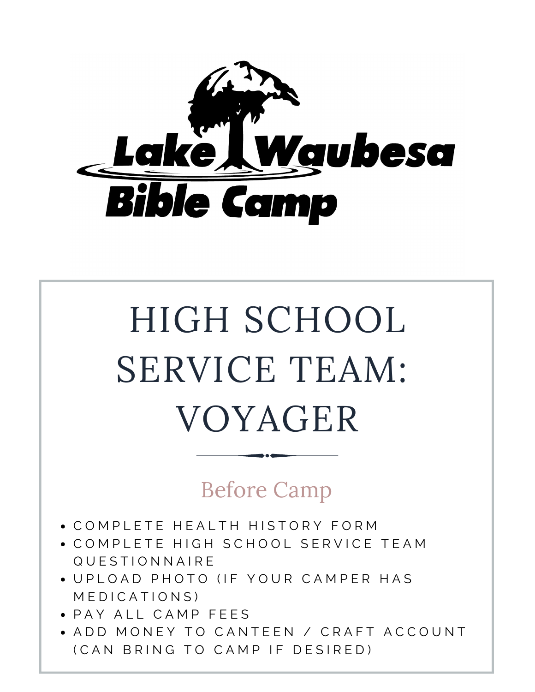

# HIGH SCHOOL SERVICE TEAM: VOYAGER

#### Before Camp

- COMPLETE HEALTH HISTORY FORM
- COMPLETE HIGH SCHOOL SERVICE TEAM Q U E S T I O N N A I R E
- UPI OAD PHOTO (IF YOUR CAMPER HAS M F D I C A T I O N S )
- PAY ALL CAMP FEES
- ADD MONEY TO CANTEEN / CRAFT ACCOUNT (CAN BRING TO CAMP IF DESIRED)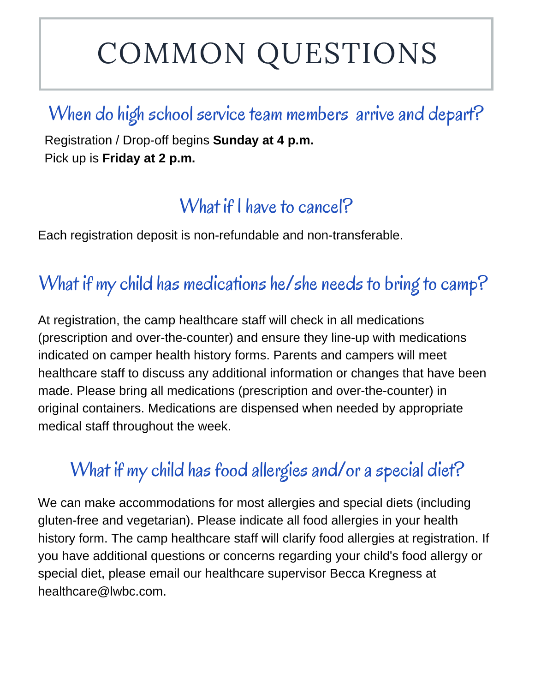# COMMON QUESTIONS

#### When do high school service team members arrive and depart?

Registration / Drop-off begins **Sunday at 4 p.m.** Pick up is **Friday at 2 p.m.**

## What if I have to cancel?

Each registration deposit is non-refundable and non-transferable.

# What if my child has medications he/she needs to bring to camp?

At registration, the camp healthcare staff will check in all medications (prescription and over-the-counter) and ensure they line-up with medications indicated on camper health history forms. Parents and campers will meet healthcare staff to discuss any additional information or changes that have been made. Please bring all medications (prescription and over-the-counter) in original containers. Medications are dispensed when needed by appropriate medical staff throughout the week.

# What if my child has food allergies and/or a special diet?

We can make accommodations for most allergies and special diets (including gluten-free and vegetarian). Please indicate all food allergies in your health history form. The camp healthcare staff will clarify food allergies at registration. If you have additional questions or concerns regarding your child's food allergy or special diet, please email our healthcare supervisor Becca Kregness at healthcare@lwbc.com.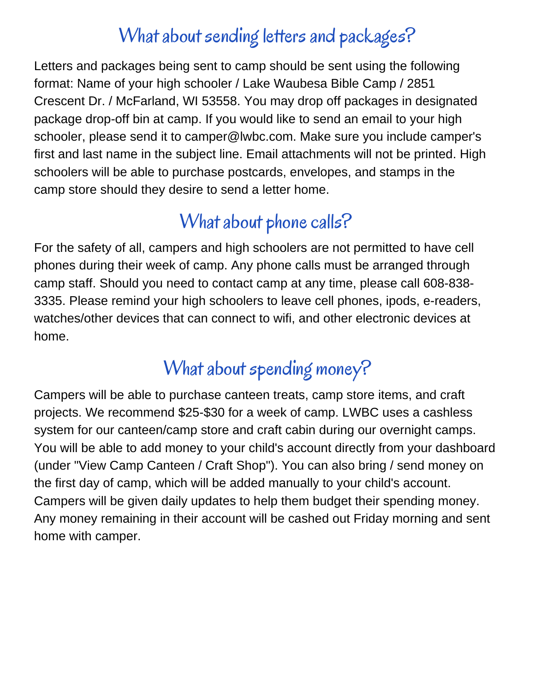#### What about sending letters and packages?

Letters and packages being sent to camp should be sent using the following format: Name of your high schooler / Lake Waubesa Bible Camp / 2851 Crescent Dr. / McFarland, WI 53558. You may drop off packages in designated package drop-off bin at camp. If you would like to send an email to your high schooler, please send it to camper@lwbc.com. Make sure you include camper's first and last name in the subject line. Email attachments will not be printed. High schoolers will be able to purchase postcards, envelopes, and stamps in the camp store should they desire to send a letter home.

#### What about phone calls?

For the safety of all, campers and high schoolers are not permitted to have cell phones during their week of camp. Any phone calls must be arranged through camp staff. Should you need to contact camp at any time, please call 608-838- 3335. Please remind your high schoolers to leave cell phones, ipods, e-readers, watches/other devices that can connect to wifi, and other electronic devices at home.

# What about spending money?

Campers will be able to purchase canteen treats, camp store items, and craft projects. We recommend \$25-\$30 for a week of camp. LWBC uses a cashless system for our canteen/camp store and craft cabin during our overnight camps. You will be able to add money to your child's account directly from your dashboard (under "View Camp Canteen / Craft Shop"). You can also bring / send money on the first day of camp, which will be added manually to your child's account. Campers will be given daily updates to help them budget their spending money. Any money remaining in their account will be cashed out Friday morning and sent home with camper.